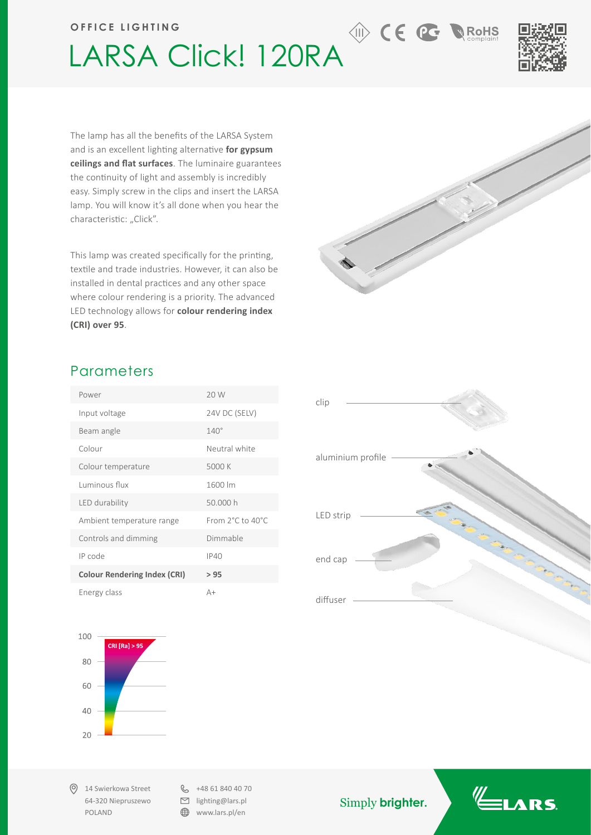#### **OFFICE LIGHTING**

# LARSA Click! 120RA



**RoHS** 

The lamp has all the benefits of the LARSA System and is an excellent lighting alternative **for gypsum ceilings and flat surfaces**. The luminaire guarantees the continuity of light and assembly is incredibly easy. Simply screw in the clips and insert the LARSA lamp. You will know it's all done when you hear the characteristic: "Click".

This lamp was created specifically for the printing, textile and trade industries. However, it can also be installed in dental practices and any other space where colour rendering is a priority. The advanced LED technology allows for **colour rendering index (CRI) over 95**.

### **Parameters**

| Power                               | 20 W             |
|-------------------------------------|------------------|
| Input voltage                       | 24V DC (SELV)    |
| Beam angle                          | $140^\circ$      |
| Colour                              | Neutral white    |
| Colour temperature                  | 5000 K           |
| Luminous flux                       | 1600 lm          |
| LED durability                      | 50.000 h         |
| Ambient temperature range           | From 2°C to 40°C |
| Controls and dimming                | Dimmable         |
| IP code                             | <b>IP40</b>      |
| <b>Colour Rendering Index (CRI)</b> | >95              |
| Energy class                        | $A+$             |



14 Swierkowa Street 64-320 Niepruszewo POLAND

 $\& +48618404070$  $\Box$  lighting@lars.pl ⊕ www.lars.pl/en

Simply **brighter.**







**the CE PC+**